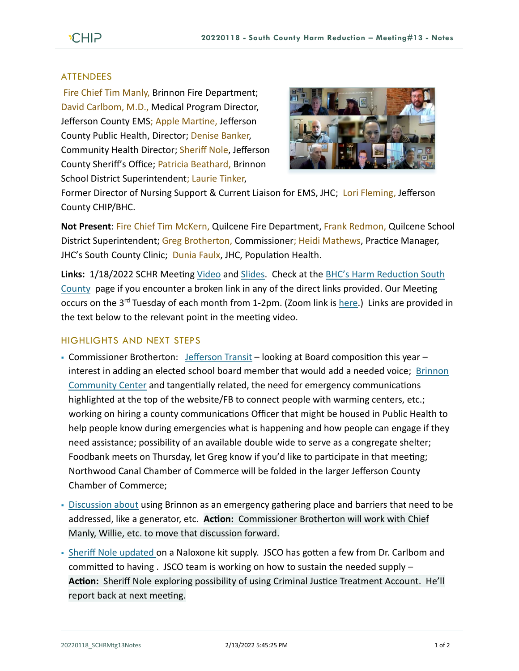## **ATTENDEES**

Fire Chief Tim Manly, Brinnon Fire Department; David Carlbom, M.D., Medical Program Director, Jefferson County EMS; Apple Martine, Jefferson County Public Health, Director; Denise Banker, Community Health Director; Sheriff Nole, Jefferson County Sheriff's Office; Patricia Beathard, Brinnon School District Superintendent; Laurie Tinker,



Former Director of Nursing Support & Current Liaison for EMS, JHC; Lori Fleming, Jefferson County CHIP/BHC.

**Not Present**: Fire Chief Tim McKern, Quilcene Fire Department, Frank Redmon, Quilcene School District Superintendent; Greg Brotherton, Commissioner; Heidi Mathews, Practice Manager, JHC's South County Clinic; Dunia Faulx, JHC, Population Health.

**Links:** 1/18/2022 SCHR Meeting [Video](https://www.youtube.com/watch?v=hNe4_rCTAyA) and [Slides.](https://www.behealthyjefferson.com/_files/ugd/2fdcdd_6c9edf3d53ec45e38f7e3b35be678ff1.pdf) Check at the [BHC's Harm Reduction South](https://www.behealthyjefferson.com/bhcharmreduction)  [County](https://www.behealthyjefferson.com/bhcharmreduction) page if you encounter a broken link in any of the direct links provided. Our Meeting occurs on the 3<sup>rd</sup> Tuesday of each month from 1-2pm. (Zoom link is [here.](https://zoom.us/j/97908186807?pwd=QTFtTTNJRkFnRzJwZ1poK2lvcWxUdz09)) Links are provided in the text below to the relevant point in the meeting video.

## HIGHLIGHTS AND NEXT STEPS

- Commissioner Brotherton: [Jefferson Transit](https://youtu.be/hNe4_rCTAyA?t=22) looking at Board composition this year interest in adding an elected school board member that would add a needed voice; [Brinnon](https://youtu.be/hNe4_rCTAyA?t=131)  [Community Center](https://youtu.be/hNe4_rCTAyA?t=131) and tangentially related, the need for emergency communications highlighted at the top of the website/FB to connect people with warming centers, etc.; working on hiring a county communications Officer that might be housed in Public Health to help people know during emergencies what is happening and how people can engage if they need assistance; possibility of an available double wide to serve as a congregate shelter; Foodbank meets on Thursday, let Greg know if you'd like to participate in that meeting; Northwood Canal Chamber of Commerce will be folded in the larger Jefferson County Chamber of Commerce;
- [Discussion about](https://youtu.be/hNe4_rCTAyA?t=1446) using Brinnon as an emergency gathering place and barriers that need to be addressed, like a generator, etc. **Action:** Commissioner Brotherton will work with Chief Manly, Willie, etc. to move that discussion forward.
- **-** [Sheriff Nole updated o](https://youtu.be/hNe4_rCTAyA?t=335)n a Naloxone kit supply. JSCO has gotten a few from Dr. Carlbom and committed to having . JSCO team is working on how to sustain the needed supply – **Action:** Sheriff Nole exploring possibility of using Criminal Justice Treatment Account. He'll report back at next meeting.